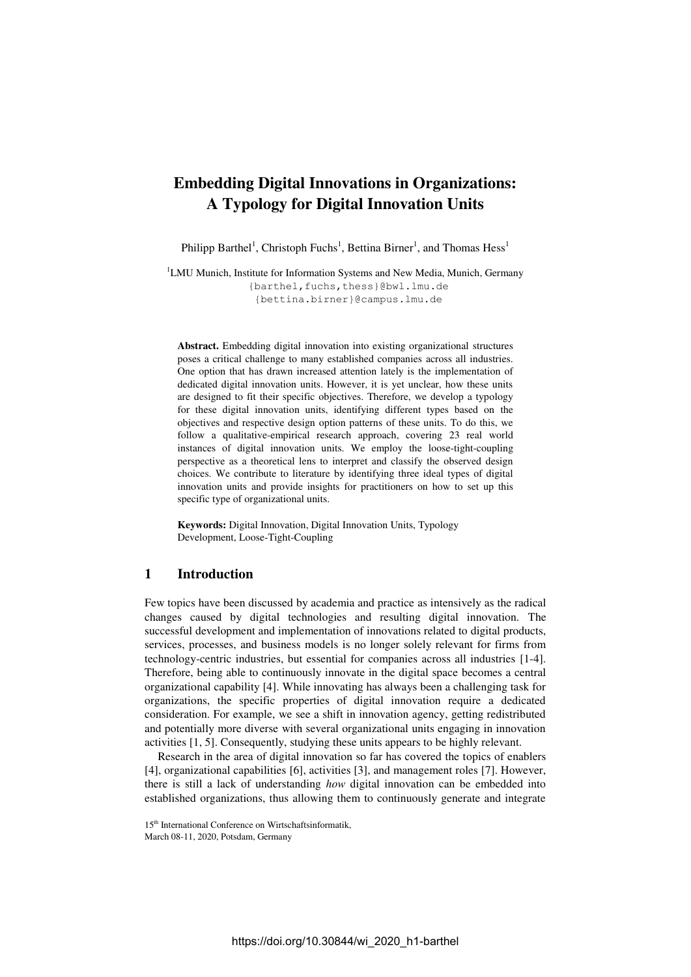# **Embedding Digital Innovations in Organizations: A Typology for Digital Innovation Units**

Philipp Barthel<sup>1</sup>, Christoph Fuchs<sup>1</sup>, Bettina Birner<sup>1</sup>, and Thomas Hess<sup>1</sup>

<sup>1</sup>LMU Munich, Institute for Information Systems and New Media, Munich, Germany {barthel,fuchs,thess}@bwl.lmu.de {bettina.birner}@campus.lmu.de

**Abstract.** Embedding digital innovation into existing organizational structures poses a critical challenge to many established companies across all industries. One option that has drawn increased attention lately is the implementation of dedicated digital innovation units. However, it is yet unclear, how these units are designed to fit their specific objectives. Therefore, we develop a typology for these digital innovation units, identifying different types based on the objectives and respective design option patterns of these units. To do this, we follow a qualitative-empirical research approach, covering 23 real world instances of digital innovation units. We employ the loose-tight-coupling perspective as a theoretical lens to interpret and classify the observed design choices. We contribute to literature by identifying three ideal types of digital innovation units and provide insights for practitioners on how to set up this specific type of organizational units.

**Keywords:** Digital Innovation, Digital Innovation Units, Typology Development, Loose-Tight-Coupling

## **1 Introduction**

Few topics have been discussed by academia and practice as intensively as the radical changes caused by digital technologies and resulting digital innovation. The successful development and implementation of innovations related to digital products, services, processes, and business models is no longer solely relevant for firms from technology-centric industries, but essential for companies across all industries [1-4]. Therefore, being able to continuously innovate in the digital space becomes a central organizational capability [4]. While innovating has always been a challenging task for organizations, the specific properties of digital innovation require a dedicated consideration. For example, we see a shift in innovation agency, getting redistributed and potentially more diverse with several organizational units engaging in innovation activities [1, 5]. Consequently, studying these units appears to be highly relevant.

Research in the area of digital innovation so far has covered the topics of enablers [4], organizational capabilities [6], activities [3], and management roles [7]. However, there is still a lack of understanding *how* digital innovation can be embedded into established organizations, thus allowing them to continuously generate and integrate

<sup>15&</sup>lt;sup>th</sup> International Conference on Wirtschaftsinformatik,

March 08-11, 2020, Potsdam, Germany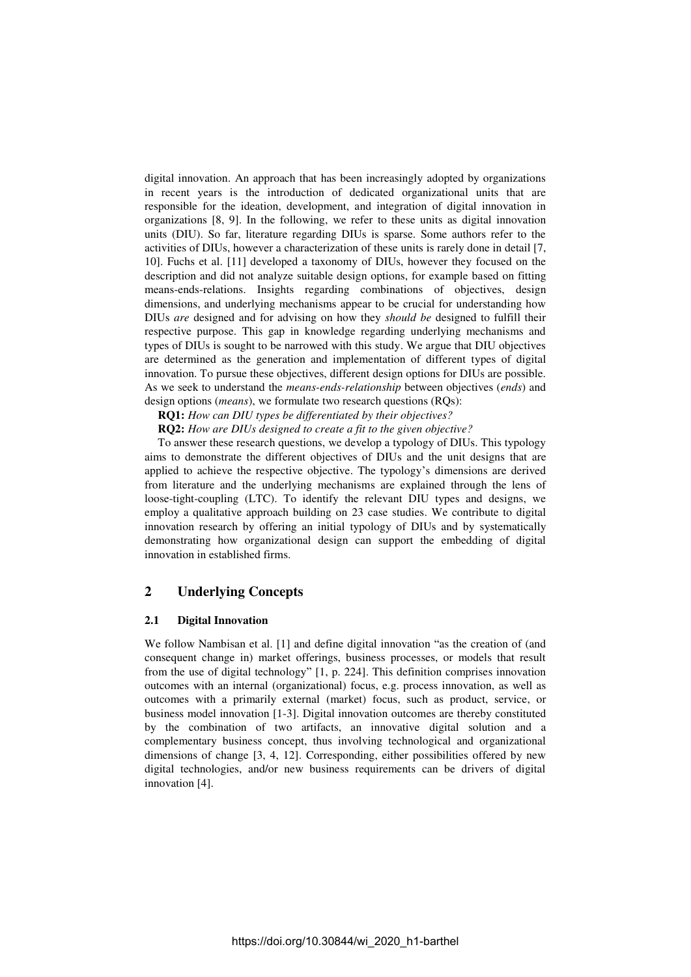digital innovation. An approach that has been increasingly adopted by organizations in recent years is the introduction of dedicated organizational units that are responsible for the ideation, development, and integration of digital innovation in organizations [8, 9]. In the following, we refer to these units as digital innovation units (DIU). So far, literature regarding DIUs is sparse. Some authors refer to the activities of DIUs, however a characterization of these units is rarely done in detail [7, 10]. Fuchs et al. [11] developed a taxonomy of DIUs, however they focused on the description and did not analyze suitable design options, for example based on fitting means-ends-relations. Insights regarding combinations of objectives, design dimensions, and underlying mechanisms appear to be crucial for understanding how DIUs *are* designed and for advising on how they *should be* designed to fulfill their respective purpose. This gap in knowledge regarding underlying mechanisms and types of DIUs is sought to be narrowed with this study. We argue that DIU objectives are determined as the generation and implementation of different types of digital innovation. To pursue these objectives, different design options for DIUs are possible. As we seek to understand the *means-ends-relationship* between objectives (*ends*) and design options (*means*), we formulate two research questions (RQs):

**RQ1:** *How can DIU types be differentiated by their objectives?* 

**RQ2:** *How are DIUs designed to create a fit to the given objective?* 

To answer these research questions, we develop a typology of DIUs. This typology aims to demonstrate the different objectives of DIUs and the unit designs that are applied to achieve the respective objective. The typology's dimensions are derived from literature and the underlying mechanisms are explained through the lens of loose-tight-coupling (LTC). To identify the relevant DIU types and designs, we employ a qualitative approach building on 23 case studies. We contribute to digital innovation research by offering an initial typology of DIUs and by systematically demonstrating how organizational design can support the embedding of digital innovation in established firms.

## **2 Underlying Concepts**

#### **2.1 Digital Innovation**

We follow Nambisan et al. [1] and define digital innovation "as the creation of (and consequent change in) market offerings, business processes, or models that result from the use of digital technology" [1, p. 224]. This definition comprises innovation outcomes with an internal (organizational) focus, e.g. process innovation, as well as outcomes with a primarily external (market) focus, such as product, service, or business model innovation [1-3]. Digital innovation outcomes are thereby constituted by the combination of two artifacts, an innovative digital solution and a complementary business concept, thus involving technological and organizational dimensions of change [3, 4, 12]. Corresponding, either possibilities offered by new digital technologies, and/or new business requirements can be drivers of digital innovation [4].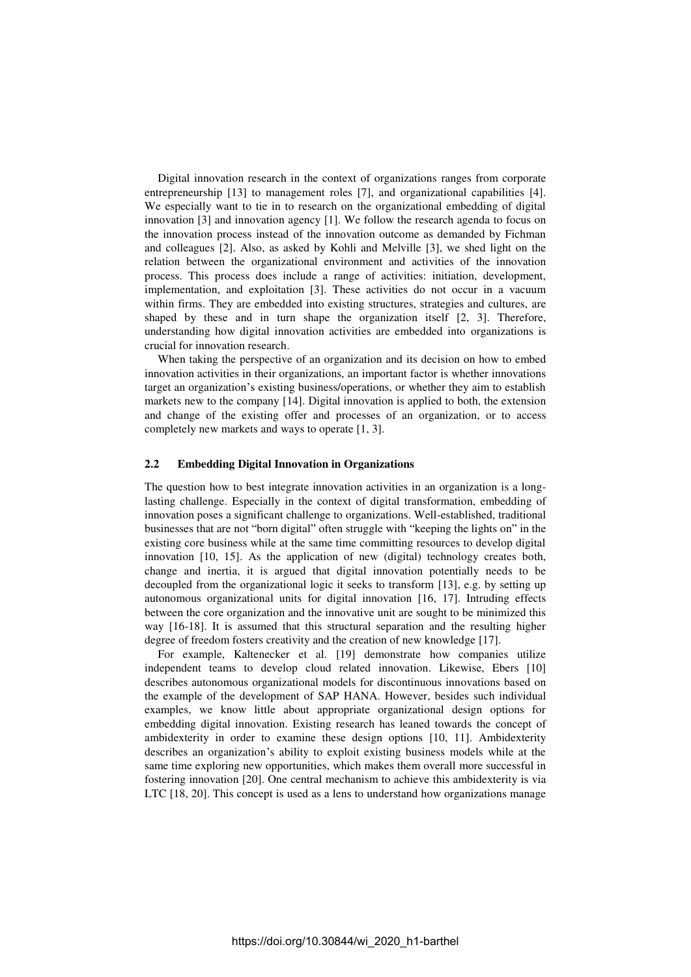Digital innovation research in the context of organizations ranges from corporate entrepreneurship [13] to management roles [7], and organizational capabilities [4]. We especially want to tie in to research on the organizational embedding of digital innovation [3] and innovation agency [1]. We follow the research agenda to focus on the innovation process instead of the innovation outcome as demanded by Fichman and colleagues [2]. Also, as asked by Kohli and Melville [3], we shed light on the relation between the organizational environment and activities of the innovation process. This process does include a range of activities: initiation, development, implementation, and exploitation [3]. These activities do not occur in a vacuum within firms. They are embedded into existing structures, strategies and cultures, are shaped by these and in turn shape the organization itself [2, 3]. Therefore, understanding how digital innovation activities are embedded into organizations is crucial for innovation research.

When taking the perspective of an organization and its decision on how to embed innovation activities in their organizations, an important factor is whether innovations target an organization's existing business/operations, or whether they aim to establish markets new to the company [14]. Digital innovation is applied to both, the extension and change of the existing offer and processes of an organization, or to access completely new markets and ways to operate [1, 3].

#### **2.2 Embedding Digital Innovation in Organizations**

The question how to best integrate innovation activities in an organization is a longlasting challenge. Especially in the context of digital transformation, embedding of innovation poses a significant challenge to organizations. Well-established, traditional businesses that are not "born digital" often struggle with "keeping the lights on" in the existing core business while at the same time committing resources to develop digital innovation [10, 15]. As the application of new (digital) technology creates both, change and inertia, it is argued that digital innovation potentially needs to be decoupled from the organizational logic it seeks to transform [13], e.g. by setting up autonomous organizational units for digital innovation [16, 17]. Intruding effects between the core organization and the innovative unit are sought to be minimized this way [16-18]. It is assumed that this structural separation and the resulting higher degree of freedom fosters creativity and the creation of new knowledge [17].

For example, Kaltenecker et al. [19] demonstrate how companies utilize independent teams to develop cloud related innovation. Likewise, Ebers [10] describes autonomous organizational models for discontinuous innovations based on the example of the development of SAP HANA. However, besides such individual examples, we know little about appropriate organizational design options for embedding digital innovation. Existing research has leaned towards the concept of ambidexterity in order to examine these design options [10, 11]. Ambidexterity describes an organization's ability to exploit existing business models while at the same time exploring new opportunities, which makes them overall more successful in fostering innovation [20]. One central mechanism to achieve this ambidexterity is via LTC [18, 20]. This concept is used as a lens to understand how organizations manage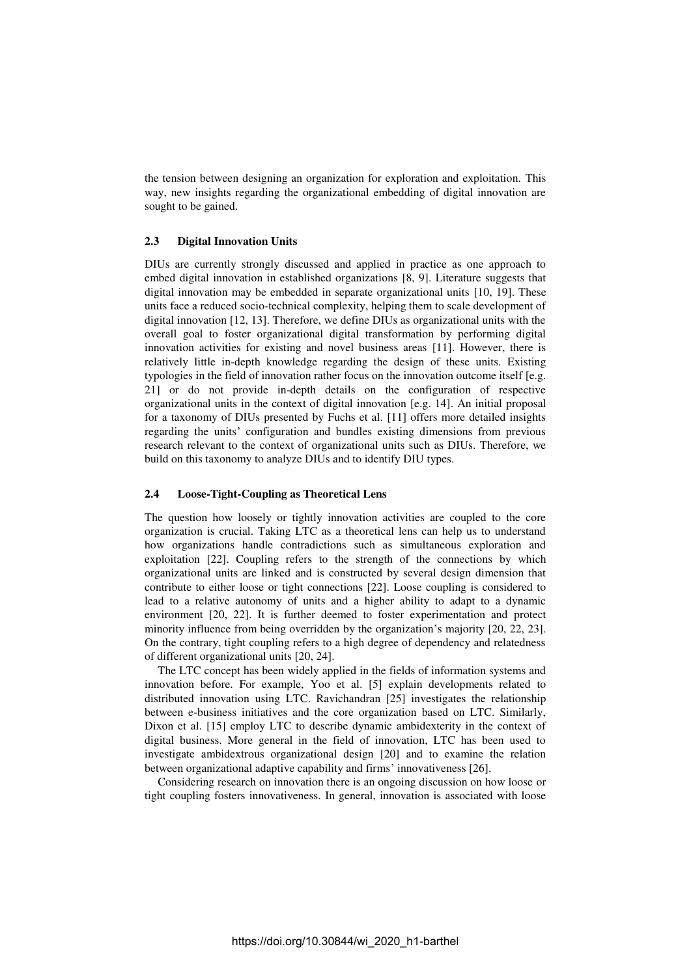the tension between designing an organization for exploration and exploitation. This way, new insights regarding the organizational embedding of digital innovation are sought to be gained.

#### **2.3 Digital Innovation Units**

DIUs are currently strongly discussed and applied in practice as one approach to embed digital innovation in established organizations [8, 9]. Literature suggests that digital innovation may be embedded in separate organizational units [10, 19]. These units face a reduced socio-technical complexity, helping them to scale development of digital innovation [12, 13]. Therefore, we define DIUs as organizational units with the overall goal to foster organizational digital transformation by performing digital innovation activities for existing and novel business areas [11]. However, there is relatively little in-depth knowledge regarding the design of these units. Existing typologies in the field of innovation rather focus on the innovation outcome itself [e.g. 21] or do not provide in-depth details on the configuration of respective organizational units in the context of digital innovation [e.g. 14]. An initial proposal for a taxonomy of DIUs presented by Fuchs et al. [11] offers more detailed insights regarding the units' configuration and bundles existing dimensions from previous research relevant to the context of organizational units such as DIUs. Therefore, we build on this taxonomy to analyze DIUs and to identify DIU types.

#### **2.4 Loose-Tight-Coupling as Theoretical Lens**

The question how loosely or tightly innovation activities are coupled to the core organization is crucial. Taking LTC as a theoretical lens can help us to understand how organizations handle contradictions such as simultaneous exploration and exploitation [22]. Coupling refers to the strength of the connections by which organizational units are linked and is constructed by several design dimension that contribute to either loose or tight connections [22]. Loose coupling is considered to lead to a relative autonomy of units and a higher ability to adapt to a dynamic environment [20, 22]. It is further deemed to foster experimentation and protect minority influence from being overridden by the organization's majority [20, 22, 23]. On the contrary, tight coupling refers to a high degree of dependency and relatedness of different organizational units [20, 24].

The LTC concept has been widely applied in the fields of information systems and innovation before. For example, Yoo et al. [5] explain developments related to distributed innovation using LTC. Ravichandran [25] investigates the relationship between e-business initiatives and the core organization based on LTC. Similarly, Dixon et al. [15] employ LTC to describe dynamic ambidexterity in the context of digital business. More general in the field of innovation, LTC has been used to investigate ambidextrous organizational design [20] and to examine the relation between organizational adaptive capability and firms' innovativeness [26].

Considering research on innovation there is an ongoing discussion on how loose or tight coupling fosters innovativeness. In general, innovation is associated with loose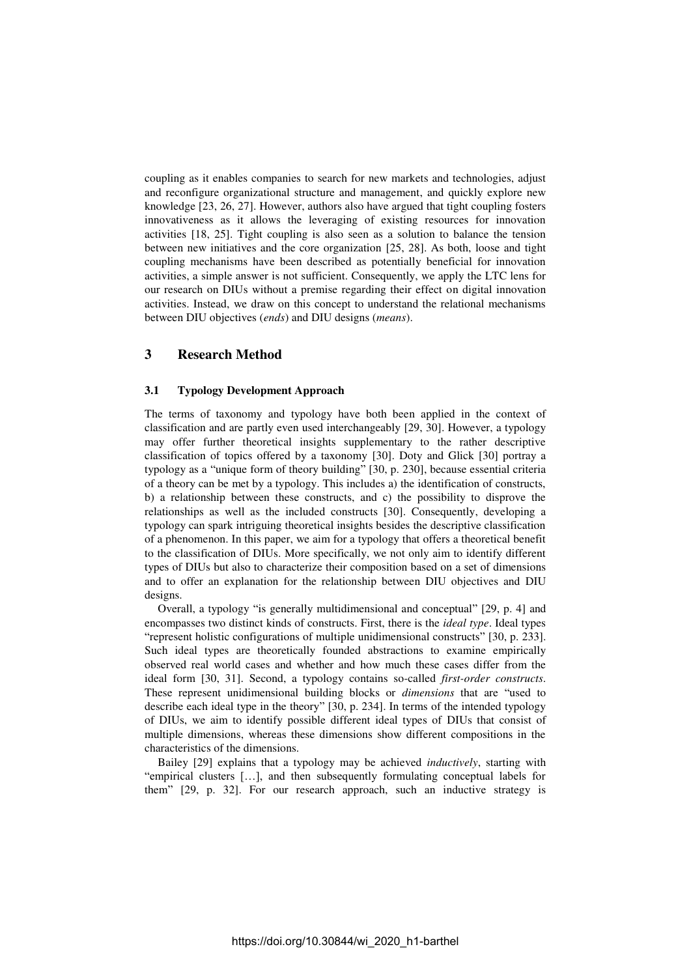coupling as it enables companies to search for new markets and technologies, adjust and reconfigure organizational structure and management, and quickly explore new knowledge [23, 26, 27]. However, authors also have argued that tight coupling fosters innovativeness as it allows the leveraging of existing resources for innovation activities [18, 25]. Tight coupling is also seen as a solution to balance the tension between new initiatives and the core organization [25, 28]. As both, loose and tight coupling mechanisms have been described as potentially beneficial for innovation activities, a simple answer is not sufficient. Consequently, we apply the LTC lens for our research on DIUs without a premise regarding their effect on digital innovation activities. Instead, we draw on this concept to understand the relational mechanisms between DIU objectives (*ends*) and DIU designs (*means*).

## **3 Research Method**

### **3.1 Typology Development Approach**

The terms of taxonomy and typology have both been applied in the context of classification and are partly even used interchangeably [29, 30]. However, a typology may offer further theoretical insights supplementary to the rather descriptive classification of topics offered by a taxonomy [30]. Doty and Glick [30] portray a typology as a "unique form of theory building" [30, p. 230], because essential criteria of a theory can be met by a typology. This includes a) the identification of constructs, b) a relationship between these constructs, and c) the possibility to disprove the relationships as well as the included constructs [30]. Consequently, developing a typology can spark intriguing theoretical insights besides the descriptive classification of a phenomenon. In this paper, we aim for a typology that offers a theoretical benefit to the classification of DIUs. More specifically, we not only aim to identify different types of DIUs but also to characterize their composition based on a set of dimensions and to offer an explanation for the relationship between DIU objectives and DIU designs.

Overall, a typology "is generally multidimensional and conceptual" [29, p. 4] and encompasses two distinct kinds of constructs. First, there is the *ideal type*. Ideal types "represent holistic configurations of multiple unidimensional constructs" [30, p. 233]. Such ideal types are theoretically founded abstractions to examine empirically observed real world cases and whether and how much these cases differ from the ideal form [30, 31]. Second, a typology contains so-called *first-order constructs*. These represent unidimensional building blocks or *dimensions* that are "used to describe each ideal type in the theory" [30, p. 234]. In terms of the intended typology of DIUs, we aim to identify possible different ideal types of DIUs that consist of multiple dimensions, whereas these dimensions show different compositions in the characteristics of the dimensions.

Bailey [29] explains that a typology may be achieved *inductively*, starting with "empirical clusters […], and then subsequently formulating conceptual labels for them" [29, p. 32]. For our research approach, such an inductive strategy is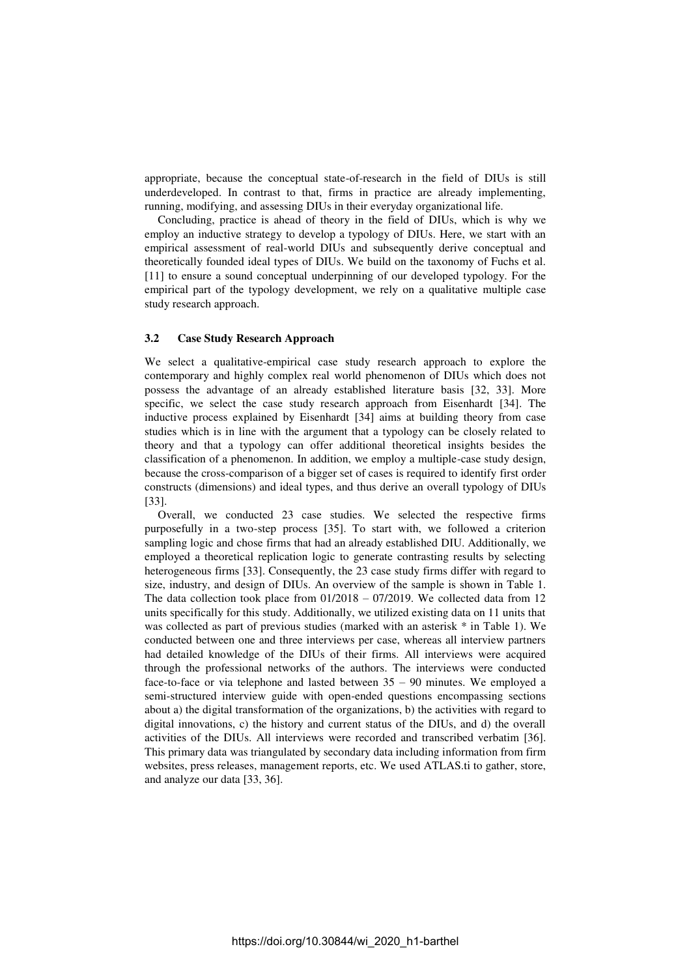appropriate, because the conceptual state-of-research in the field of DIUs is still underdeveloped. In contrast to that, firms in practice are already implementing, running, modifying, and assessing DIUs in their everyday organizational life.

Concluding, practice is ahead of theory in the field of DIUs, which is why we employ an inductive strategy to develop a typology of DIUs. Here, we start with an empirical assessment of real-world DIUs and subsequently derive conceptual and theoretically founded ideal types of DIUs. We build on the taxonomy of Fuchs et al. [11] to ensure a sound conceptual underpinning of our developed typology. For the empirical part of the typology development, we rely on a qualitative multiple case study research approach.

#### **3.2 Case Study Research Approach**

We select a qualitative-empirical case study research approach to explore the contemporary and highly complex real world phenomenon of DIUs which does not possess the advantage of an already established literature basis [32, 33]. More specific, we select the case study research approach from Eisenhardt [34]. The inductive process explained by Eisenhardt [34] aims at building theory from case studies which is in line with the argument that a typology can be closely related to theory and that a typology can offer additional theoretical insights besides the classification of a phenomenon. In addition, we employ a multiple-case study design, because the cross-comparison of a bigger set of cases is required to identify first order constructs (dimensions) and ideal types, and thus derive an overall typology of DIUs [33].

Overall, we conducted 23 case studies. We selected the respective firms purposefully in a two-step process [35]. To start with, we followed a criterion sampling logic and chose firms that had an already established DIU. Additionally, we employed a theoretical replication logic to generate contrasting results by selecting heterogeneous firms [33]. Consequently, the 23 case study firms differ with regard to size, industry, and design of DIUs. An overview of the sample is shown in Table 1. The data collection took place from  $01/2018 - 07/2019$ . We collected data from 12 units specifically for this study. Additionally, we utilized existing data on 11 units that was collected as part of previous studies (marked with an asterisk \* in Table 1). We conducted between one and three interviews per case, whereas all interview partners had detailed knowledge of the DIUs of their firms. All interviews were acquired through the professional networks of the authors. The interviews were conducted face-to-face or via telephone and lasted between 35 – 90 minutes. We employed a semi-structured interview guide with open-ended questions encompassing sections about a) the digital transformation of the organizations, b) the activities with regard to digital innovations, c) the history and current status of the DIUs, and d) the overall activities of the DIUs. All interviews were recorded and transcribed verbatim [36]. This primary data was triangulated by secondary data including information from firm websites, press releases, management reports, etc. We used ATLAS.ti to gather, store, and analyze our data [33, 36].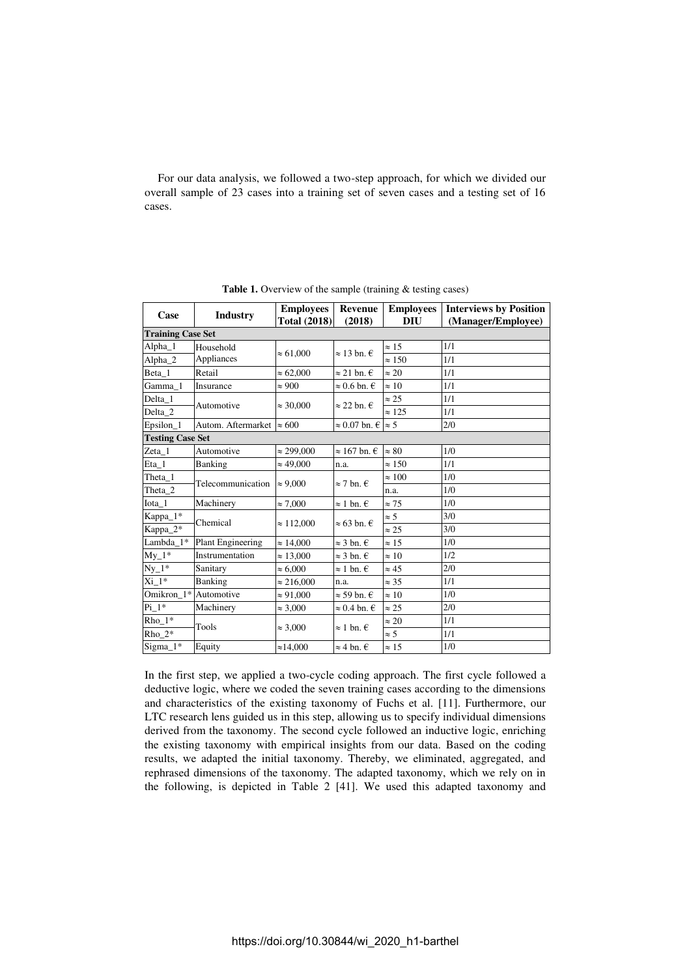For our data analysis, we followed a two-step approach, for which we divided our overall sample of 23 cases into a training set of seven cases and a testing set of 16 cases.

| Case                     | <b>Industry</b>          | <b>Employees</b><br>Revenue<br><b>Total (2018)</b><br>(2018) |                                   | <b>Employees</b><br><b>DIU</b> | <b>Interviews by Position</b><br>(Manager/Employee) |  |  |  |  |  |
|--------------------------|--------------------------|--------------------------------------------------------------|-----------------------------------|--------------------------------|-----------------------------------------------------|--|--|--|--|--|
| <b>Training Case Set</b> |                          |                                                              |                                   |                                |                                                     |  |  |  |  |  |
| $Alpha_1$                | Household                | $\approx 61,000$                                             | ≈ 13 bn. €                        | $\approx 15$                   | 1/1                                                 |  |  |  |  |  |
| Alpha <sub>2</sub>       | Appliances               |                                                              |                                   | $\approx 150$                  | 1/1                                                 |  |  |  |  |  |
| Beta 1                   | Retail                   | $\approx 62,000$                                             | $\approx$ 21 bn. $\in$            | $\approx 20$                   | 1/1                                                 |  |  |  |  |  |
| Gamma 1                  | Insurance                | $\approx 900$                                                | ≈ 0.6 bn. €                       | $\approx 10$                   | 1/1                                                 |  |  |  |  |  |
| Delta_1                  | Automotive               | $\approx$ 30,000                                             | ≈ 22 bn. $€$                      | $\approx 25$                   | 1/1                                                 |  |  |  |  |  |
| Delta 2                  |                          |                                                              |                                   | $\approx 125$                  | 1/1                                                 |  |  |  |  |  |
| Epsilon_1                | Autom. Aftermarket       | $\approx 600$                                                | $\approx 0.07$ bn. $\in \infty$ 5 |                                | 2/0                                                 |  |  |  |  |  |
| <b>Testing Case Set</b>  |                          |                                                              |                                   |                                |                                                     |  |  |  |  |  |
| Zeta_1                   | Automotive               | $\approx 299,000$                                            | $\approx 167$ bn. $\in$           | $\approx 80$                   | 1/0                                                 |  |  |  |  |  |
| Eta_1                    | Banking                  | $\approx 49,000$                                             | n.a.                              | $\approx 150$                  | 1/1                                                 |  |  |  |  |  |
| Theta 1                  | Telecommunication        |                                                              | $\approx$ 7 bn. $\in$             | $\approx 100$                  | 1/0                                                 |  |  |  |  |  |
| Theta_2                  |                          | $\approx 9,000$                                              |                                   | n.a.                           | 1/0                                                 |  |  |  |  |  |
| Iota_1                   | Machinery                | $\approx 7,000$                                              | $\approx 1$ bn. $\in$             | $\approx$ 75                   | 1/0                                                 |  |  |  |  |  |
| Kappa_1*                 | Chemical                 |                                                              | ≈ 63 bn. €                        | $\approx$ 5                    | 3/0                                                 |  |  |  |  |  |
| Kappa_2*                 |                          | $\approx 112,000$                                            |                                   | $\approx 25$                   | 3/0                                                 |  |  |  |  |  |
| Lambda_1*                | <b>Plant Engineering</b> | $\approx 14,000$                                             | $\approx$ 3 bn. $\in$             | $\approx 15$                   | 1/0                                                 |  |  |  |  |  |
| $My_1*$                  | Instrumentation          | $\approx 13,000$                                             | $\approx$ 3 bn. $\in$             | $\approx 10$                   | 1/2                                                 |  |  |  |  |  |
| $Ny_1*$                  | Sanitary                 | $\approx 6,000$                                              | $\approx 1$ bn. $\in$             | $\approx 45$                   | 2/0                                                 |  |  |  |  |  |
| Xi 1*                    | Banking                  | $\approx 216,000$                                            | n.a.                              | $\approx$ 35                   | 1/1                                                 |  |  |  |  |  |
| Omikron 1*               | Automotive               | $\approx 91,000$                                             | ≈ 59 bn. €                        | $\approx 10$                   | 1/0                                                 |  |  |  |  |  |
| $Pi_1$ *                 | Machinery                | $\approx 3,000$                                              | ≈ 0.4 bn. $€$                     | $\approx 25$                   | 2/0                                                 |  |  |  |  |  |
| $Rho_1*$                 | Tools                    |                                                              |                                   | $\approx 20$                   | 1/1                                                 |  |  |  |  |  |
| $Rho_2^*$                |                          | $\approx 3,000$                                              | ≈ 1 bn. €                         | $\approx$ 5                    | 1/1                                                 |  |  |  |  |  |
| $Sigma_1$ *              | Equity                   | $\approx$ 14,000                                             | ≈ 4 bn. €                         | $\approx 15$                   | 1/0                                                 |  |  |  |  |  |

**Table 1.** Overview of the sample (training & testing cases)

In the first step, we applied a two-cycle coding approach. The first cycle followed a deductive logic, where we coded the seven training cases according to the dimensions and characteristics of the existing taxonomy of Fuchs et al. [11]. Furthermore, our LTC research lens guided us in this step, allowing us to specify individual dimensions derived from the taxonomy. The second cycle followed an inductive logic, enriching the existing taxonomy with empirical insights from our data. Based on the coding results, we adapted the initial taxonomy. Thereby, we eliminated, aggregated, and rephrased dimensions of the taxonomy. The adapted taxonomy, which we rely on in the following, is depicted in Table 2 [41]. We used this adapted taxonomy and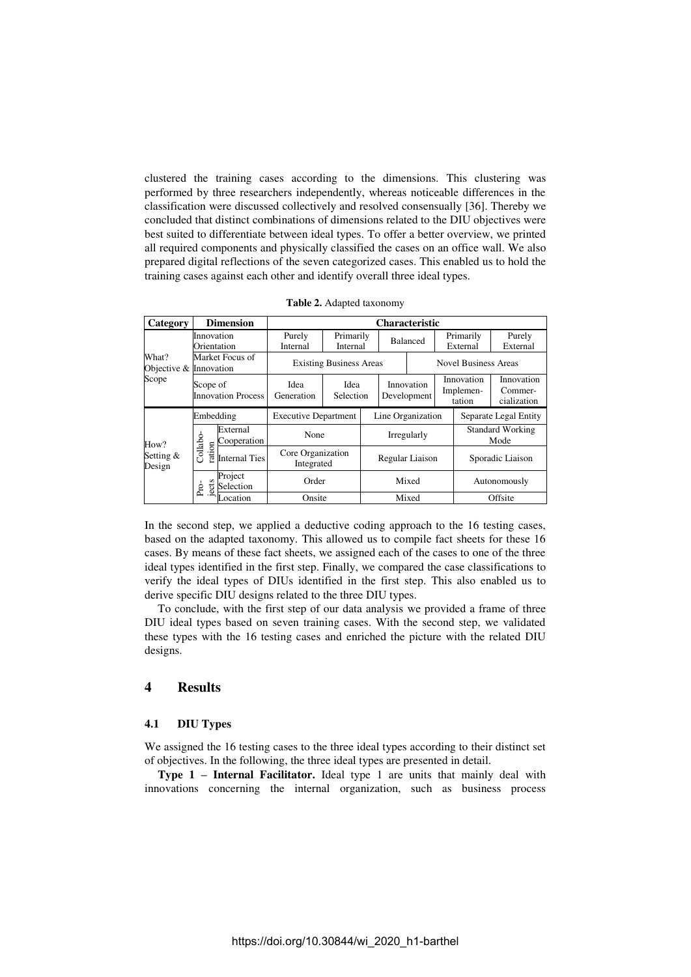clustered the training cases according to the dimensions. This clustering was performed by three researchers independently, whereas noticeable differences in the classification were discussed collectively and resolved consensually [36]. Thereby we concluded that distinct combinations of dimensions related to the DIU objectives were best suited to differentiate between ideal types. To offer a better overview, we printed all required components and physically classified the cases on an office wall. We also prepared digital reflections of the seven categorized cases. This enabled us to hold the training cases against each other and identify overall three ideal types.

| Category                                 |                                       | <b>Dimension</b>        | <b>Characteristic</b>                   |                       |                   |                           |                             |                                   |                  |                                      |
|------------------------------------------|---------------------------------------|-------------------------|-----------------------------------------|-----------------------|-------------------|---------------------------|-----------------------------|-----------------------------------|------------------|--------------------------------------|
| What?<br>Objective & Innovation<br>Scope | Innovation<br>Orientation             |                         | Purely<br>Internal                      | Primarily<br>Internal |                   | <b>Balanced</b>           |                             | Primarily<br>External             |                  | Purely<br>External                   |
|                                          | Market Focus of                       |                         | <b>Existing Business Areas</b>          |                       |                   |                           | <b>Novel Business Areas</b> |                                   |                  |                                      |
|                                          | Scope of<br><b>Innovation Process</b> |                         | Idea<br>Generation                      | Idea<br>Selection     |                   | Innovation<br>Development |                             | Innovation<br>Implemen-<br>tation |                  | Innovation<br>Commer-<br>cialization |
|                                          | Embedding                             |                         | <b>Executive Department</b>             |                       | Line Organization |                           |                             |                                   |                  | Separate Legal Entity                |
| How?                                     |                                       | External<br>Cooperation | None<br>Core Organization<br>Integrated |                       | Irregularly       |                           |                             |                                   |                  | <b>Standard Working</b><br>Mode      |
| Setting &<br>Design                      | Collabo<br>ration                     | <b>Internal Ties</b>    |                                         |                       | Regular Liaison   |                           |                             |                                   | Sporadic Liaison |                                      |
|                                          | ects<br>Pro                           | Project<br>Selection    | Order                                   |                       | Mixed             |                           |                             | Autonomously                      |                  |                                      |
|                                          |                                       | ocation                 | Onsite                                  |                       |                   |                           | Mixed                       |                                   |                  | Offsite                              |

**Table 2.** Adapted taxonomy

In the second step, we applied a deductive coding approach to the 16 testing cases, based on the adapted taxonomy. This allowed us to compile fact sheets for these 16 cases. By means of these fact sheets, we assigned each of the cases to one of the three ideal types identified in the first step. Finally, we compared the case classifications to verify the ideal types of DIUs identified in the first step. This also enabled us to derive specific DIU designs related to the three DIU types.

To conclude, with the first step of our data analysis we provided a frame of three DIU ideal types based on seven training cases. With the second step, we validated these types with the 16 testing cases and enriched the picture with the related DIU designs.

### **4 Results**

#### **4.1 DIU Types**

We assigned the 16 testing cases to the three ideal types according to their distinct set of objectives. In the following, the three ideal types are presented in detail.

**Type 1 – Internal Facilitator.** Ideal type 1 are units that mainly deal with innovations concerning the internal organization, such as business process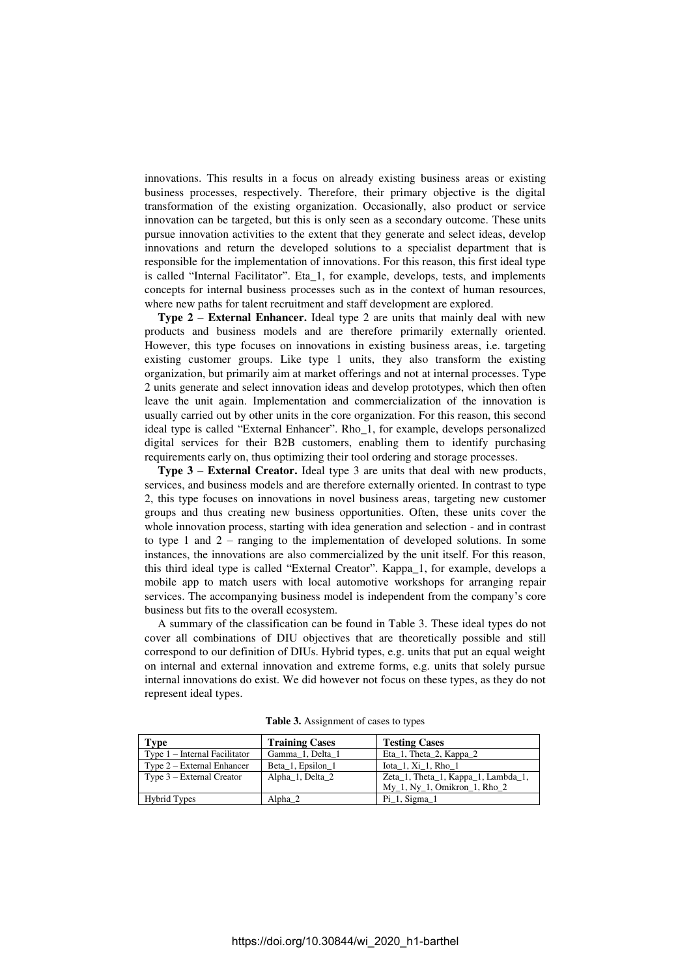innovations. This results in a focus on already existing business areas or existing business processes, respectively. Therefore, their primary objective is the digital transformation of the existing organization. Occasionally, also product or service innovation can be targeted, but this is only seen as a secondary outcome. These units pursue innovation activities to the extent that they generate and select ideas, develop innovations and return the developed solutions to a specialist department that is responsible for the implementation of innovations. For this reason, this first ideal type is called "Internal Facilitator". Eta\_1, for example, develops, tests, and implements concepts for internal business processes such as in the context of human resources, where new paths for talent recruitment and staff development are explored.

**Type 2 – External Enhancer.** Ideal type 2 are units that mainly deal with new products and business models and are therefore primarily externally oriented. However, this type focuses on innovations in existing business areas, i.e. targeting existing customer groups. Like type 1 units, they also transform the existing organization, but primarily aim at market offerings and not at internal processes. Type 2 units generate and select innovation ideas and develop prototypes, which then often leave the unit again. Implementation and commercialization of the innovation is usually carried out by other units in the core organization. For this reason, this second ideal type is called "External Enhancer". Rho\_1, for example, develops personalized digital services for their B2B customers, enabling them to identify purchasing requirements early on, thus optimizing their tool ordering and storage processes.

**Type 3 – External Creator.** Ideal type 3 are units that deal with new products, services, and business models and are therefore externally oriented. In contrast to type 2, this type focuses on innovations in novel business areas, targeting new customer groups and thus creating new business opportunities. Often, these units cover the whole innovation process, starting with idea generation and selection - and in contrast to type 1 and  $2$  – ranging to the implementation of developed solutions. In some instances, the innovations are also commercialized by the unit itself. For this reason, this third ideal type is called "External Creator". Kappa\_1, for example, develops a mobile app to match users with local automotive workshops for arranging repair services. The accompanying business model is independent from the company's core business but fits to the overall ecosystem.

A summary of the classification can be found in Table 3. These ideal types do not cover all combinations of DIU objectives that are theoretically possible and still correspond to our definition of DIUs. Hybrid types, e.g. units that put an equal weight on internal and external innovation and extreme forms, e.g. units that solely pursue internal innovations do exist. We did however not focus on these types, as they do not represent ideal types.

| Type                            | <b>Training Cases</b> | <b>Testing Cases</b>                                       |
|---------------------------------|-----------------------|------------------------------------------------------------|
| Type $1$ – Internal Facilitator | Gamma 1, Delta 1      | Eta <sub>1</sub> , Theta <sub>2</sub> , Kappa <sub>2</sub> |
| Type $2$ – External Enhancer    | Beta_1, Epsilon_1     | Iota 1, Xi 1, Rho 1                                        |
| Type $3$ – External Creator     | Alpha 1, Delta 2      | Zeta_1, Theta_1, Kappa_1, Lambda_1,                        |
|                                 |                       | $My_1$ , Ny 1, Omikron 1, Rho 2                            |
| <b>Hybrid Types</b>             | Alpha 2               | $Pi_1$ , Sigma 1                                           |
|                                 |                       |                                                            |

**Table 3.** Assignment of cases to types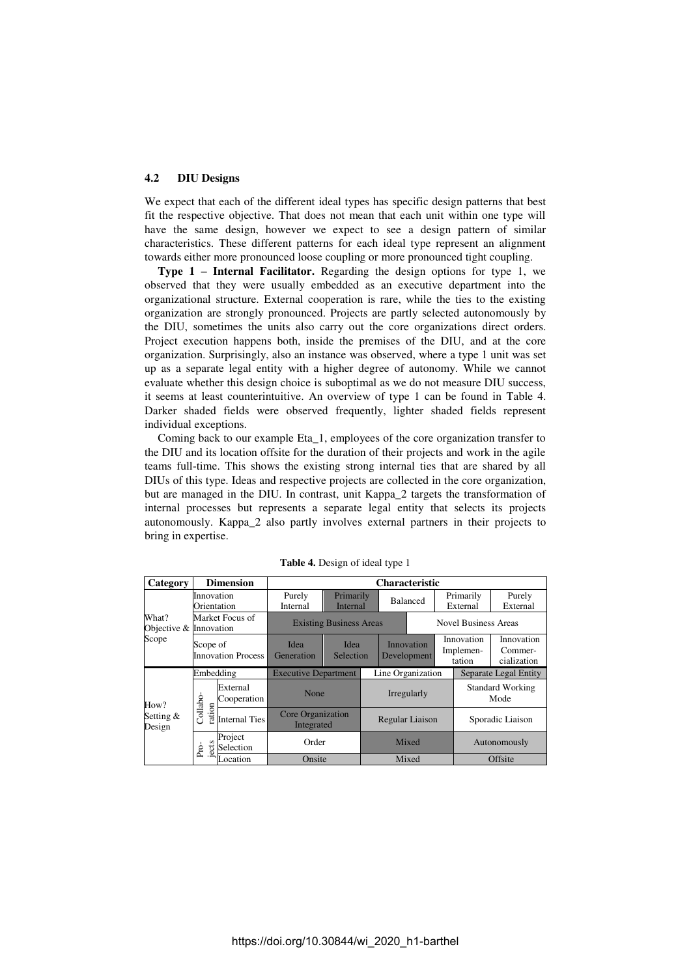#### **4.2 DIU Designs**

We expect that each of the different ideal types has specific design patterns that best fit the respective objective. That does not mean that each unit within one type will have the same design, however we expect to see a design pattern of similar characteristics. These different patterns for each ideal type represent an alignment towards either more pronounced loose coupling or more pronounced tight coupling.

**Type 1 – Internal Facilitator.** Regarding the design options for type 1, we observed that they were usually embedded as an executive department into the organizational structure. External cooperation is rare, while the ties to the existing organization are strongly pronounced. Projects are partly selected autonomously by the DIU, sometimes the units also carry out the core organizations direct orders. Project execution happens both, inside the premises of the DIU, and at the core organization. Surprisingly, also an instance was observed, where a type 1 unit was set up as a separate legal entity with a higher degree of autonomy. While we cannot evaluate whether this design choice is suboptimal as we do not measure DIU success, it seems at least counterintuitive. An overview of type 1 can be found in Table 4. Darker shaded fields were observed frequently, lighter shaded fields represent individual exceptions.

Coming back to our example Eta\_1, employees of the core organization transfer to the DIU and its location offsite for the duration of their projects and work in the agile teams full-time. This shows the existing strong internal ties that are shared by all DIUs of this type. Ideas and respective projects are collected in the core organization, but are managed in the DIU. In contrast, unit Kappa\_2 targets the transformation of internal processes but represents a separate legal entity that selects its projects autonomously. Kappa\_2 also partly involves external partners in their projects to bring in expertise.

| Category                                 |                                       | <b>Dimension</b>        | <b>Characteristic</b>                   |                       |                   |                           |  |                       |                                   |                                      |
|------------------------------------------|---------------------------------------|-------------------------|-----------------------------------------|-----------------------|-------------------|---------------------------|--|-----------------------|-----------------------------------|--------------------------------------|
| What?<br>Objective & Innovation<br>Scope | Innovation<br>Orientation             |                         | Purely<br>Internal                      | Primarily<br>Internal | <b>Balanced</b>   |                           |  | Primarily<br>External |                                   | Purely<br>External                   |
|                                          | Market Focus of                       |                         | <b>Existing Business Areas</b>          |                       |                   |                           |  |                       | <b>Novel Business Areas</b>       |                                      |
|                                          | Scope of<br><b>Innovation Process</b> |                         | Idea<br>Generation                      | Idea<br>Selection     |                   | Innovation<br>Development |  |                       | Innovation<br>Implemen-<br>tation | Innovation<br>Commer-<br>cialization |
|                                          | Embedding                             |                         | <b>Executive Department</b>             |                       | Line Organization |                           |  |                       | Separate Legal Entity             |                                      |
| How?<br>Setting &<br>Design              |                                       | External<br>Cooperation | None<br>Core Organization<br>Integrated |                       |                   | Irregularly               |  |                       | <b>Standard Working</b><br>Mode   |                                      |
|                                          | Collabo<br>ration                     | <b>Internal Ties</b>    |                                         |                       | Regular Liaison   |                           |  |                       | Sporadic Liaison                  |                                      |
|                                          | ects<br>Pro-                          | Project<br>Selection    | Order                                   |                       | Mixed             |                           |  | Autonomously          |                                   |                                      |
|                                          |                                       | ocation                 | Onsite                                  |                       | Mixed             |                           |  |                       | Offsite                           |                                      |

**Table 4.** Design of ideal type 1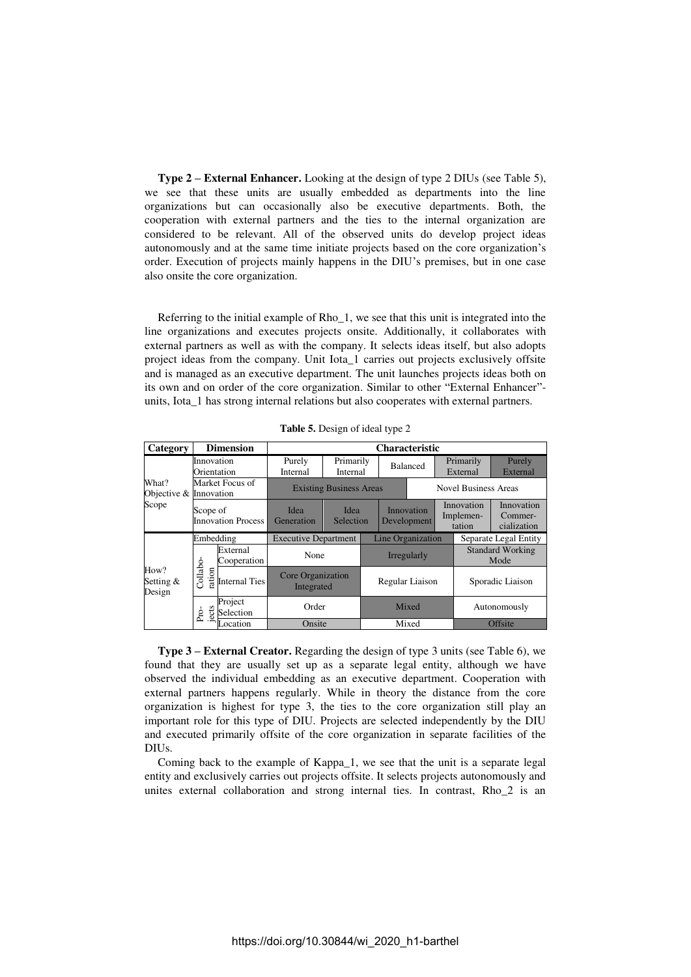**Type 2 – External Enhancer.** Looking at the design of type 2 DIUs (see Table 5), we see that these units are usually embedded as departments into the line organizations but can occasionally also be executive departments. Both, the cooperation with external partners and the ties to the internal organization are considered to be relevant. All of the observed units do develop project ideas autonomously and at the same time initiate projects based on the core organization's order. Execution of projects mainly happens in the DIU's premises, but in one case also onsite the core organization.

Referring to the initial example of Rho\_1, we see that this unit is integrated into the line organizations and executes projects onsite. Additionally, it collaborates with external partners as well as with the company. It selects ideas itself, but also adopts project ideas from the company. Unit Iota\_1 carries out projects exclusively offsite and is managed as an executive department. The unit launches projects ideas both on its own and on order of the core organization. Similar to other "External Enhancer" units, Iota\_1 has strong internal relations but also cooperates with external partners.

| Category                                 |                                       | <b>Dimension</b>        | <b>Characteristic</b>           |                       |                   |                           |                             |                                   |                       |                                      |
|------------------------------------------|---------------------------------------|-------------------------|---------------------------------|-----------------------|-------------------|---------------------------|-----------------------------|-----------------------------------|-----------------------|--------------------------------------|
| What?<br>Objective & Innovation<br>Scope | Innovation<br>Orientation             |                         | Purely<br>Internal              | Primarily<br>Internal |                   | <b>Balanced</b>           |                             |                                   | Primarily<br>External | Purely<br>External                   |
|                                          | Market Focus of                       |                         | <b>Existing Business Areas</b>  |                       |                   |                           | <b>Novel Business Areas</b> |                                   |                       |                                      |
|                                          | Scope of<br><b>Innovation Process</b> |                         | Idea<br>Generation              | Idea<br>Selection     |                   | Innovation<br>Development |                             | Innovation<br>Implemen-<br>tation |                       | Innovation<br>Commer-<br>cialization |
|                                          | Embedding                             |                         | <b>Executive Department</b>     |                       | Line Organization |                           |                             | Separate Legal Entity             |                       |                                      |
|                                          |                                       | External<br>Cooperation | None                            |                       | Irregularly       |                           |                             | <b>Standard Working</b><br>Mode   |                       |                                      |
| How?<br>Setting &<br>Design              | Collabo<br>ration                     | <b>Internal Ties</b>    | Core Organization<br>Integrated |                       | Regular Liaison   |                           |                             | Sporadic Liaison                  |                       |                                      |
|                                          | ects<br>Pro-                          | Project<br>Selection    | Order                           |                       | Mixed             |                           |                             |                                   | Autonomously          |                                      |
|                                          |                                       | ocation                 | Onsite                          |                       | Mixed             |                           |                             |                                   | Offsite               |                                      |

**Table 5.** Design of ideal type 2

**Type 3 – External Creator.** Regarding the design of type 3 units (see Table 6), we found that they are usually set up as a separate legal entity, although we have observed the individual embedding as an executive department. Cooperation with external partners happens regularly. While in theory the distance from the core organization is highest for type 3, the ties to the core organization still play an important role for this type of DIU. Projects are selected independently by the DIU and executed primarily offsite of the core organization in separate facilities of the DIUs.

Coming back to the example of Kappa\_1, we see that the unit is a separate legal entity and exclusively carries out projects offsite. It selects projects autonomously and unites external collaboration and strong internal ties. In contrast, Rho\_2 is an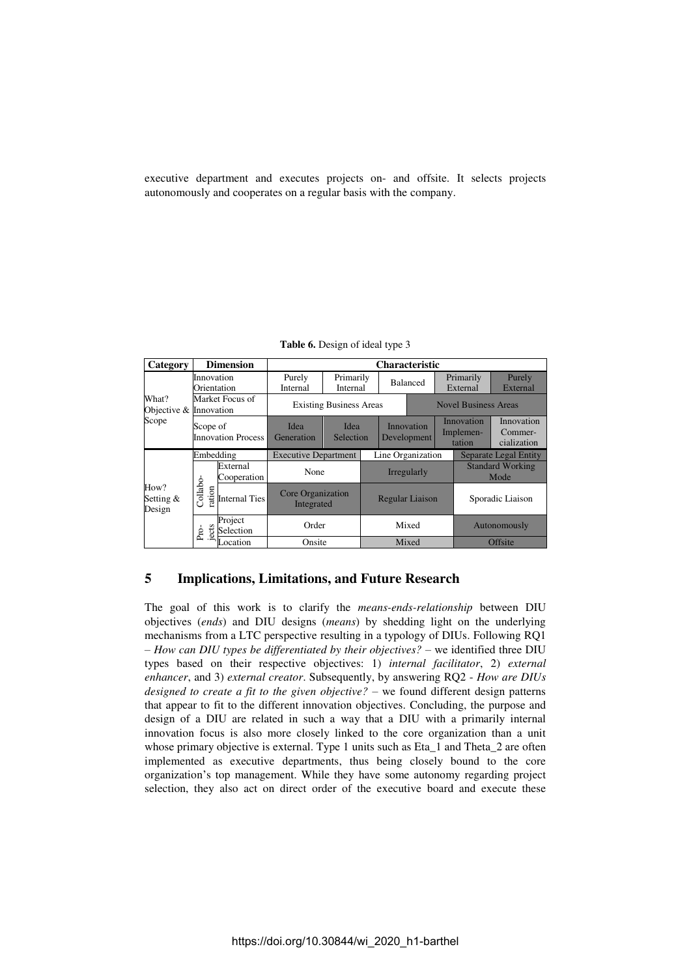executive department and executes projects on- and offsite. It selects projects autonomously and cooperates on a regular basis with the company.

| Category                        |                                       | <b>Dimension</b>        | <b>Characteristic</b>           |                       |                        |                           |  |                                   |                                 |                                      |
|---------------------------------|---------------------------------------|-------------------------|---------------------------------|-----------------------|------------------------|---------------------------|--|-----------------------------------|---------------------------------|--------------------------------------|
|                                 | Innovation<br>Orientation             |                         | Purely<br>Internal              | Primarily<br>Internal |                        | <b>Balanced</b>           |  | Primarily<br>External             |                                 | Purely<br>External                   |
| What?<br>Objective & Innovation | Market Focus of                       |                         | <b>Existing Business Areas</b>  |                       |                        |                           |  | <b>Novel Business Areas</b>       |                                 |                                      |
| Scope                           | Scope of<br><b>Innovation Process</b> |                         | Idea<br>Generation              | Idea<br>Selection     |                        | Innovation<br>Development |  | Innovation<br>Implemen-<br>tation |                                 | Innovation<br>Commer-<br>cialization |
|                                 | Embedding                             |                         | <b>Executive Department</b>     |                       | Line Organization      |                           |  |                                   |                                 | <b>Separate Legal Entity</b>         |
|                                 |                                       | External<br>Cooperation | None                            |                       |                        | Irregularly               |  |                                   | <b>Standard Working</b><br>Mode |                                      |
| How?<br>Setting &<br>Design     | Collabo-<br>ration                    | <b>Internal Ties</b>    | Core Organization<br>Integrated |                       | <b>Regular Liaison</b> |                           |  |                                   | Sporadic Liaison                |                                      |
|                                 | cts<br>Pro-                           | Project<br>Selection    | Order                           |                       | Mixed                  |                           |  | Autonomously                      |                                 |                                      |
|                                 |                                       | ocation                 | Onsite                          |                       | Mixed                  |                           |  |                                   | Offsite                         |                                      |

**Table 6.** Design of ideal type 3

## **5 Implications, Limitations, and Future Research**

The goal of this work is to clarify the *means-ends-relationship* between DIU objectives (*ends*) and DIU designs (*means*) by shedding light on the underlying mechanisms from a LTC perspective resulting in a typology of DIUs. Following RQ1 – *How can DIU types be differentiated by their objectives?* – we identified three DIU types based on their respective objectives: 1) *internal facilitator*, 2) *external enhancer*, and 3) *external creator*. Subsequently, by answering RQ2 - *How are DIUs designed to create a fit to the given objective? –* we found different design patterns that appear to fit to the different innovation objectives. Concluding, the purpose and design of a DIU are related in such a way that a DIU with a primarily internal innovation focus is also more closely linked to the core organization than a unit whose primary objective is external. Type 1 units such as Eta\_1 and Theta\_2 are often implemented as executive departments, thus being closely bound to the core organization's top management. While they have some autonomy regarding project selection, they also act on direct order of the executive board and execute these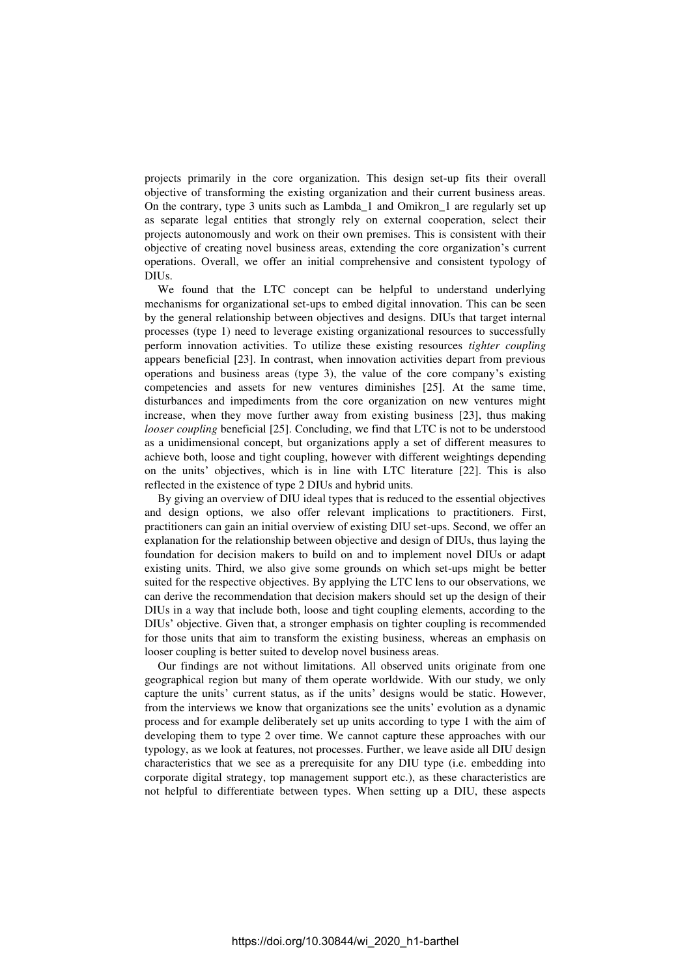projects primarily in the core organization. This design set-up fits their overall objective of transforming the existing organization and their current business areas. On the contrary, type 3 units such as Lambda\_1 and Omikron\_1 are regularly set up as separate legal entities that strongly rely on external cooperation, select their projects autonomously and work on their own premises. This is consistent with their objective of creating novel business areas, extending the core organization's current operations. Overall, we offer an initial comprehensive and consistent typology of DIUs.

We found that the LTC concept can be helpful to understand underlying mechanisms for organizational set-ups to embed digital innovation. This can be seen by the general relationship between objectives and designs. DIUs that target internal processes (type 1) need to leverage existing organizational resources to successfully perform innovation activities. To utilize these existing resources *tighter coupling* appears beneficial [23]. In contrast, when innovation activities depart from previous operations and business areas (type 3), the value of the core company's existing competencies and assets for new ventures diminishes [25]. At the same time, disturbances and impediments from the core organization on new ventures might increase, when they move further away from existing business [23], thus making *looser coupling* beneficial [25]. Concluding, we find that LTC is not to be understood as a unidimensional concept, but organizations apply a set of different measures to achieve both, loose and tight coupling, however with different weightings depending on the units' objectives, which is in line with LTC literature [22]. This is also reflected in the existence of type 2 DIUs and hybrid units.

By giving an overview of DIU ideal types that is reduced to the essential objectives and design options, we also offer relevant implications to practitioners. First, practitioners can gain an initial overview of existing DIU set-ups. Second, we offer an explanation for the relationship between objective and design of DIUs, thus laying the foundation for decision makers to build on and to implement novel DIUs or adapt existing units. Third, we also give some grounds on which set-ups might be better suited for the respective objectives. By applying the LTC lens to our observations, we can derive the recommendation that decision makers should set up the design of their DIUs in a way that include both, loose and tight coupling elements, according to the DIUs' objective. Given that, a stronger emphasis on tighter coupling is recommended for those units that aim to transform the existing business, whereas an emphasis on looser coupling is better suited to develop novel business areas.

Our findings are not without limitations. All observed units originate from one geographical region but many of them operate worldwide. With our study, we only capture the units' current status, as if the units' designs would be static. However, from the interviews we know that organizations see the units' evolution as a dynamic process and for example deliberately set up units according to type 1 with the aim of developing them to type 2 over time. We cannot capture these approaches with our typology, as we look at features, not processes. Further, we leave aside all DIU design characteristics that we see as a prerequisite for any DIU type (i.e. embedding into corporate digital strategy, top management support etc.), as these characteristics are not helpful to differentiate between types. When setting up a DIU, these aspects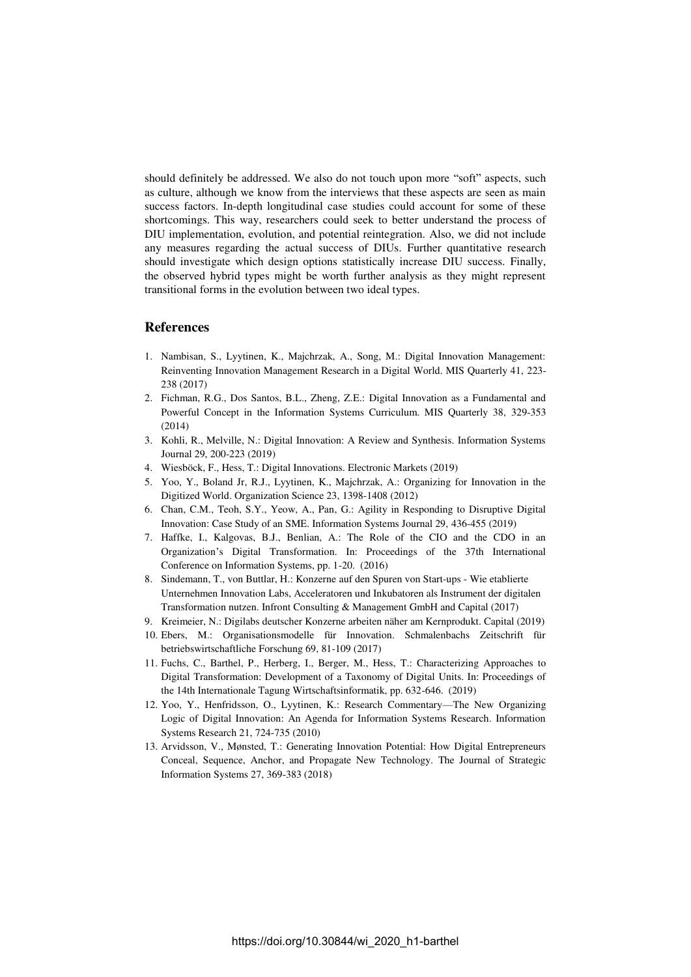should definitely be addressed. We also do not touch upon more "soft" aspects, such as culture, although we know from the interviews that these aspects are seen as main success factors. In-depth longitudinal case studies could account for some of these shortcomings. This way, researchers could seek to better understand the process of DIU implementation, evolution, and potential reintegration. Also, we did not include any measures regarding the actual success of DIUs. Further quantitative research should investigate which design options statistically increase DIU success. Finally, the observed hybrid types might be worth further analysis as they might represent transitional forms in the evolution between two ideal types.

### **References**

- 1. Nambisan, S., Lyytinen, K., Majchrzak, A., Song, M.: Digital Innovation Management: Reinventing Innovation Management Research in a Digital World. MIS Quarterly 41, 223- 238 (2017)
- 2. Fichman, R.G., Dos Santos, B.L., Zheng, Z.E.: Digital Innovation as a Fundamental and Powerful Concept in the Information Systems Curriculum. MIS Quarterly 38, 329-353 (2014)
- 3. Kohli, R., Melville, N.: Digital Innovation: A Review and Synthesis. Information Systems Journal 29, 200-223 (2019)
- 4. Wiesböck, F., Hess, T.: Digital Innovations. Electronic Markets (2019)
- 5. Yoo, Y., Boland Jr, R.J., Lyytinen, K., Majchrzak, A.: Organizing for Innovation in the Digitized World. Organization Science 23, 1398-1408 (2012)
- 6. Chan, C.M., Teoh, S.Y., Yeow, A., Pan, G.: Agility in Responding to Disruptive Digital Innovation: Case Study of an SME. Information Systems Journal 29, 436-455 (2019)
- 7. Haffke, I., Kalgovas, B.J., Benlian, A.: The Role of the CIO and the CDO in an Organization's Digital Transformation. In: Proceedings of the 37th International Conference on Information Systems, pp. 1-20. (2016)
- 8. Sindemann, T., von Buttlar, H.: Konzerne auf den Spuren von Start-ups Wie etablierte Unternehmen Innovation Labs, Acceleratoren und Inkubatoren als Instrument der digitalen Transformation nutzen. Infront Consulting & Management GmbH and Capital (2017)
- 9. Kreimeier, N.: Digilabs deutscher Konzerne arbeiten näher am Kernprodukt. Capital (2019)
- 10. Ebers, M.: Organisationsmodelle für Innovation. Schmalenbachs Zeitschrift für betriebswirtschaftliche Forschung 69, 81-109 (2017)
- 11. Fuchs, C., Barthel, P., Herberg, I., Berger, M., Hess, T.: Characterizing Approaches to Digital Transformation: Development of a Taxonomy of Digital Units. In: Proceedings of the 14th Internationale Tagung Wirtschaftsinformatik, pp. 632-646. (2019)
- 12. Yoo, Y., Henfridsson, O., Lyytinen, K.: Research Commentary—The New Organizing Logic of Digital Innovation: An Agenda for Information Systems Research. Information Systems Research 21, 724-735 (2010)
- 13. Arvidsson, V., Mønsted, T.: Generating Innovation Potential: How Digital Entrepreneurs Conceal, Sequence, Anchor, and Propagate New Technology. The Journal of Strategic Information Systems 27, 369-383 (2018)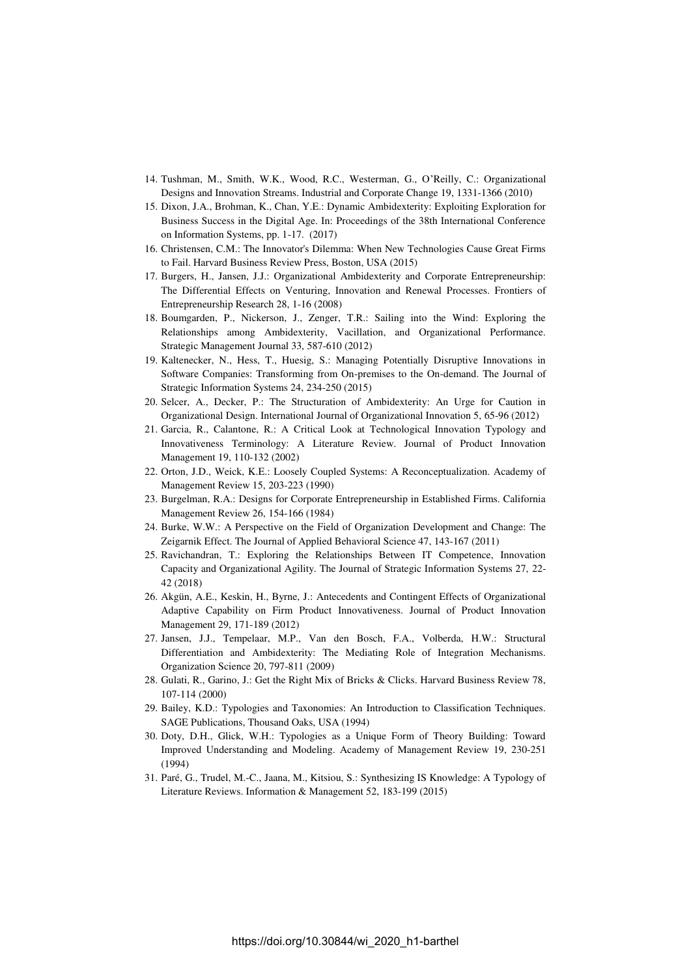- 14. Tushman, M., Smith, W.K., Wood, R.C., Westerman, G., O'Reilly, C.: Organizational Designs and Innovation Streams. Industrial and Corporate Change 19, 1331-1366 (2010)
- 15. Dixon, J.A., Brohman, K., Chan, Y.E.: Dynamic Ambidexterity: Exploiting Exploration for Business Success in the Digital Age. In: Proceedings of the 38th International Conference on Information Systems, pp. 1-17. (2017)
- 16. Christensen, C.M.: The Innovator's Dilemma: When New Technologies Cause Great Firms to Fail. Harvard Business Review Press, Boston, USA (2015)
- 17. Burgers, H., Jansen, J.J.: Organizational Ambidexterity and Corporate Entrepreneurship: The Differential Effects on Venturing, Innovation and Renewal Processes. Frontiers of Entrepreneurship Research 28, 1-16 (2008)
- 18. Boumgarden, P., Nickerson, J., Zenger, T.R.: Sailing into the Wind: Exploring the Relationships among Ambidexterity, Vacillation, and Organizational Performance. Strategic Management Journal 33, 587-610 (2012)
- 19. Kaltenecker, N., Hess, T., Huesig, S.: Managing Potentially Disruptive Innovations in Software Companies: Transforming from On-premises to the On-demand. The Journal of Strategic Information Systems 24, 234-250 (2015)
- 20. Selcer, A., Decker, P.: The Structuration of Ambidexterity: An Urge for Caution in Organizational Design. International Journal of Organizational Innovation 5, 65-96 (2012)
- 21. Garcia, R., Calantone, R.: A Critical Look at Technological Innovation Typology and Innovativeness Terminology: A Literature Review. Journal of Product Innovation Management 19, 110-132 (2002)
- 22. Orton, J.D., Weick, K.E.: Loosely Coupled Systems: A Reconceptualization. Academy of Management Review 15, 203-223 (1990)
- 23. Burgelman, R.A.: Designs for Corporate Entrepreneurship in Established Firms. California Management Review 26, 154-166 (1984)
- 24. Burke, W.W.: A Perspective on the Field of Organization Development and Change: The Zeigarnik Effect. The Journal of Applied Behavioral Science 47, 143-167 (2011)
- 25. Ravichandran, T.: Exploring the Relationships Between IT Competence, Innovation Capacity and Organizational Agility. The Journal of Strategic Information Systems 27, 22- 42 (2018)
- 26. Akgün, A.E., Keskin, H., Byrne, J.: Antecedents and Contingent Effects of Organizational Adaptive Capability on Firm Product Innovativeness. Journal of Product Innovation Management 29, 171-189 (2012)
- 27. Jansen, J.J., Tempelaar, M.P., Van den Bosch, F.A., Volberda, H.W.: Structural Differentiation and Ambidexterity: The Mediating Role of Integration Mechanisms. Organization Science 20, 797-811 (2009)
- 28. Gulati, R., Garino, J.: Get the Right Mix of Bricks & Clicks. Harvard Business Review 78, 107-114 (2000)
- 29. Bailey, K.D.: Typologies and Taxonomies: An Introduction to Classification Techniques. SAGE Publications, Thousand Oaks, USA (1994)
- 30. Doty, D.H., Glick, W.H.: Typologies as a Unique Form of Theory Building: Toward Improved Understanding and Modeling. Academy of Management Review 19, 230-251 (1994)
- 31. Paré, G., Trudel, M.-C., Jaana, M., Kitsiou, S.: Synthesizing IS Knowledge: A Typology of Literature Reviews. Information & Management 52, 183-199 (2015)